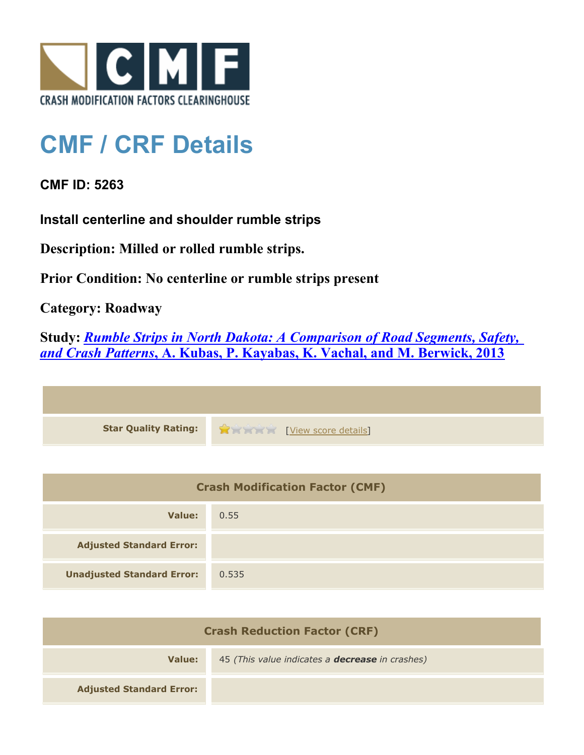

## **CMF / CRF Details**

## **CMF ID: 5263**

**Install centerline and shoulder rumble strips**

**Description: Milled or rolled rumble strips.**

**Prior Condition: No centerline or rumble strips present**

**Category: Roadway**

**Study:** *[Rumble Strips in North Dakota: A Comparison of Road Segments, Safety,](http://www.cmfclearinghouse.org/study_detail.cfm?stid=331) [and Crash Patterns](http://www.cmfclearinghouse.org/study_detail.cfm?stid=331)***[, A. Kubas, P. Kayabas, K. Vachal, and M. Berwick, 2013](http://www.cmfclearinghouse.org/study_detail.cfm?stid=331)**



| <b>Crash Modification Factor (CMF)</b> |       |
|----------------------------------------|-------|
| Value:                                 | 0.55  |
| <b>Adjusted Standard Error:</b>        |       |
| <b>Unadjusted Standard Error:</b>      | 0.535 |

| <b>Crash Reduction Factor (CRF)</b> |                                                        |
|-------------------------------------|--------------------------------------------------------|
| Value:                              | 45 (This value indicates a <b>decrease</b> in crashes) |
| <b>Adjusted Standard Error:</b>     |                                                        |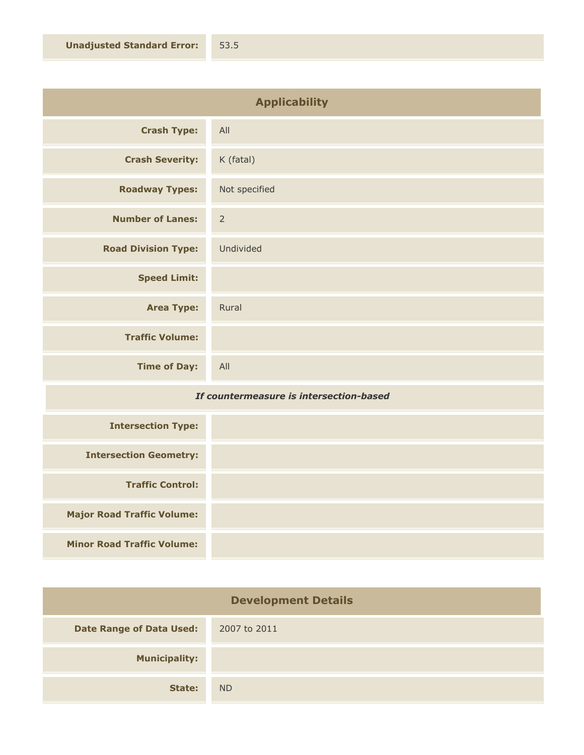| <b>Applicability</b>       |                |
|----------------------------|----------------|
| <b>Crash Type:</b>         | All            |
| <b>Crash Severity:</b>     | K (fatal)      |
| <b>Roadway Types:</b>      | Not specified  |
| <b>Number of Lanes:</b>    | $\overline{2}$ |
| <b>Road Division Type:</b> | Undivided      |
| <b>Speed Limit:</b>        |                |
| <b>Area Type:</b>          | Rural          |
| <b>Traffic Volume:</b>     |                |
| <b>Time of Day:</b>        | All            |

## *If countermeasure is intersection-based*

| <b>Intersection Type:</b>         |  |
|-----------------------------------|--|
| <b>Intersection Geometry:</b>     |  |
| <b>Traffic Control:</b>           |  |
| <b>Major Road Traffic Volume:</b> |  |
| <b>Minor Road Traffic Volume:</b> |  |

| <b>Development Details</b>      |                |
|---------------------------------|----------------|
| <b>Date Range of Data Used:</b> | 2007 to 2011   |
| <b>Municipality:</b>            |                |
| State:                          | N <sub>D</sub> |